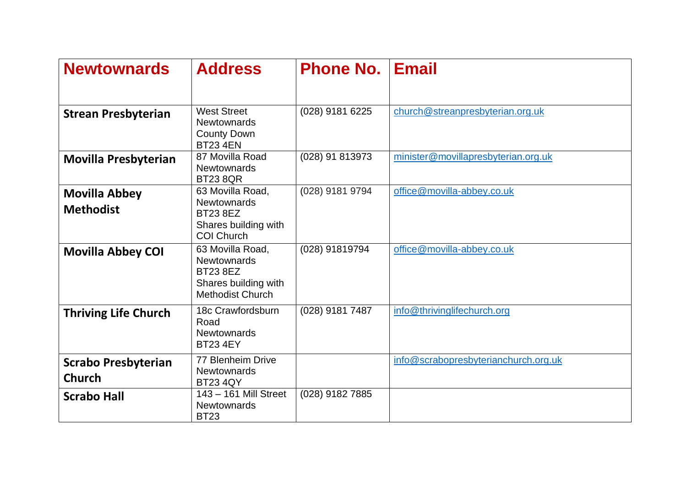| <b>Newtownards</b>                          | <b>Address</b>                                                                                               | <b>Phone No.</b> | <b>Email</b>                         |
|---------------------------------------------|--------------------------------------------------------------------------------------------------------------|------------------|--------------------------------------|
| <b>Strean Presbyterian</b>                  | <b>West Street</b><br><b>Newtownards</b><br><b>County Down</b><br><b>BT23 4EN</b>                            | (028) 9181 6225  | church@streanpresbyterian.org.uk     |
| <b>Movilla Presbyterian</b>                 | 87 Movilla Road<br><b>Newtownards</b><br><b>BT23 8QR</b>                                                     | (028) 91 813973  | minister@movillapresbyterian.org.uk  |
| <b>Movilla Abbey</b><br><b>Methodist</b>    | 63 Movilla Road,<br><b>Newtownards</b><br><b>BT23 8EZ</b><br>Shares building with<br><b>COI Church</b>       | (028) 9181 9794  | office@movilla-abbey.co.uk           |
| <b>Movilla Abbey COI</b>                    | 63 Movilla Road,<br><b>Newtownards</b><br><b>BT23 8EZ</b><br>Shares building with<br><b>Methodist Church</b> | (028) 91819794   | office@movilla-abbey.co.uk           |
| <b>Thriving Life Church</b>                 | 18c Crawfordsburn<br>Road<br><b>Newtownards</b><br><b>BT23 4EY</b>                                           | (028) 9181 7487  | info@thrivinglifechurch.org          |
| <b>Scrabo Presbyterian</b><br><b>Church</b> | <b>77 Blenheim Drive</b><br><b>Newtownards</b><br><b>BT23 4QY</b>                                            |                  | info@scrabopresbyterianchurch.org.uk |
| <b>Scrabo Hall</b>                          | 143 - 161 Mill Street<br><b>Newtownards</b><br><b>BT23</b>                                                   | (028) 9182 7885  |                                      |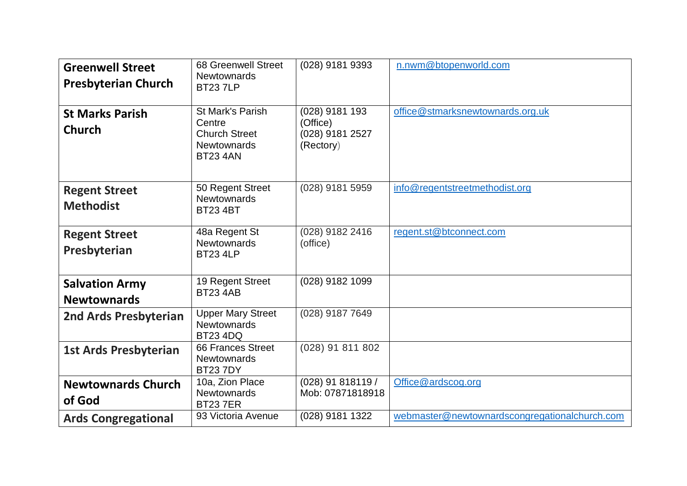| <b>Greenwell Street</b><br><b>Presbyterian Church</b> | <b>68 Greenwell Street</b><br><b>Newtownards</b><br><b>BT237LP</b>                                 | (028) 9181 9393                                            | n.nwm@btopenworld.com                         |
|-------------------------------------------------------|----------------------------------------------------------------------------------------------------|------------------------------------------------------------|-----------------------------------------------|
| <b>St Marks Parish</b><br><b>Church</b>               | <b>St Mark's Parish</b><br>Centre<br><b>Church Street</b><br><b>Newtownards</b><br><b>BT23 4AN</b> | (028) 9181 193<br>(Office)<br>(028) 9181 2527<br>(Rectory) | office@stmarksnewtownards.org.uk              |
| <b>Regent Street</b><br><b>Methodist</b>              | 50 Regent Street<br>Newtownards<br><b>BT23 4BT</b>                                                 | (028) 9181 5959                                            | info@regentstreetmethodist.org                |
| <b>Regent Street</b><br>Presbyterian                  | 48a Regent St<br><b>Newtownards</b><br><b>BT23 4LP</b>                                             | (028) 9182 2416<br>(office)                                | regent.st@btconnect.com                       |
| <b>Salvation Army</b><br><b>Newtownards</b>           | 19 Regent Street<br><b>BT23 4AB</b>                                                                | (028) 9182 1099                                            |                                               |
| 2nd Ards Presbyterian                                 | <b>Upper Mary Street</b><br><b>Newtownards</b><br><b>BT23 4DQ</b>                                  | (028) 9187 7649                                            |                                               |
| <b>1st Ards Presbyterian</b>                          | 66 Frances Street<br><b>Newtownards</b><br><b>BT237DY</b>                                          | (028) 91 811 802                                           |                                               |
| <b>Newtownards Church</b><br>of God                   | 10a, Zion Place<br><b>Newtownards</b><br><b>BT237ER</b>                                            | (028) 91 818119 /<br>Mob: 07871818918                      | Office@ardscog.org                            |
| <b>Ards Congregational</b>                            | 93 Victoria Avenue                                                                                 | (028) 9181 1322                                            | webmaster@newtownardscongregationalchurch.com |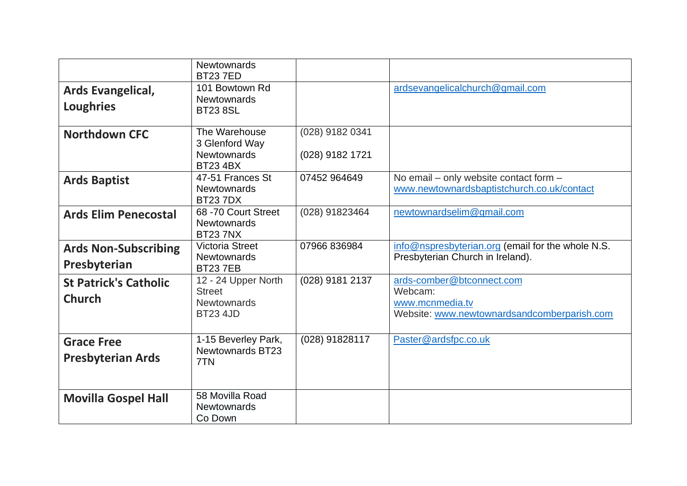|                                               | <b>Newtownards</b><br><b>BT237ED</b>                                          |                                    |                                                                                                        |
|-----------------------------------------------|-------------------------------------------------------------------------------|------------------------------------|--------------------------------------------------------------------------------------------------------|
| Ards Evangelical,<br><b>Loughries</b>         | 101 Bowtown Rd<br><b>Newtownards</b><br><b>BT23 8SL</b>                       |                                    | ardsevangelicalchurch@gmail.com                                                                        |
| <b>Northdown CFC</b>                          | The Warehouse<br>3 Glenford Way<br><b>Newtownards</b><br><b>BT23 4BX</b>      | (028) 9182 0341<br>(028) 9182 1721 |                                                                                                        |
| <b>Ards Baptist</b>                           | 47-51 Frances St<br><b>Newtownards</b><br><b>BT237DX</b>                      | 07452 964649                       | No email - only website contact form -<br>www.newtownardsbaptistchurch.co.uk/contact                   |
| <b>Ards Elim Penecostal</b>                   | 68 - 70 Court Street<br><b>Newtownards</b><br><b>BT237NX</b>                  | (028) 91823464                     | newtownardselim@gmail.com                                                                              |
| <b>Ards Non-Subscribing</b><br>Presbyterian   | <b>Victoria Street</b><br><b>Newtownards</b><br><b>BT237EB</b>                | 07966 836984                       | info@nspresbyterian.org (email for the whole N.S.<br>Presbyterian Church in Ireland).                  |
| <b>St Patrick's Catholic</b><br><b>Church</b> | 12 - 24 Upper North<br><b>Street</b><br><b>Newtownards</b><br><b>BT23 4JD</b> | (028) 9181 2137                    | ards-comber@btconnect.com<br>Webcam:<br>www.mcnmedia.tv<br>Website: www.newtownardsandcomberparish.com |
| <b>Grace Free</b><br><b>Presbyterian Ards</b> | 1-15 Beverley Park,<br><b>Newtownards BT23</b><br>7TN                         | (028) 91828117                     | Paster@ardsfpc.co.uk                                                                                   |
| <b>Movilla Gospel Hall</b>                    | 58 Movilla Road<br><b>Newtownards</b><br>Co Down                              |                                    |                                                                                                        |